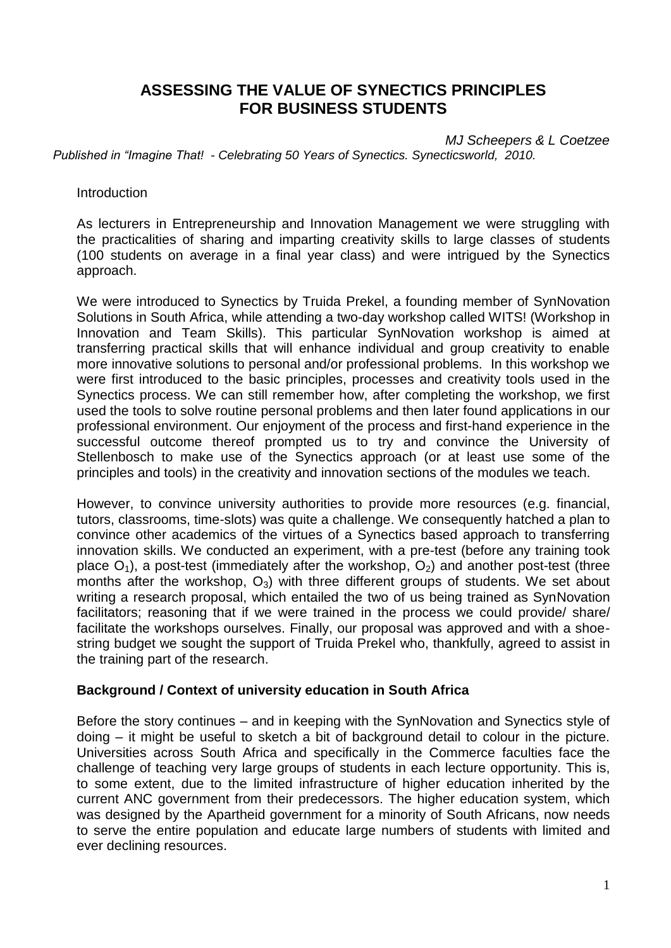# **ASSESSING THE VALUE OF SYNECTICS PRINCIPLES FOR BUSINESS STUDENTS**

*MJ Scheepers & L Coetzee Published in "Imagine That! - Celebrating 50 Years of Synectics. Synecticsworld, 2010.* 

**Introduction** 

As lecturers in Entrepreneurship and Innovation Management we were struggling with the practicalities of sharing and imparting creativity skills to large classes of students (100 students on average in a final year class) and were intrigued by the Synectics approach.

We were introduced to Synectics by Truida Prekel, a founding member of SynNovation Solutions in South Africa, while attending a two-day workshop called WITS! (Workshop in Innovation and Team Skills). This particular SynNovation workshop is aimed at transferring practical skills that will enhance individual and group creativity to enable more innovative solutions to personal and/or professional problems. In this workshop we were first introduced to the basic principles, processes and creativity tools used in the Synectics process. We can still remember how, after completing the workshop, we first used the tools to solve routine personal problems and then later found applications in our professional environment. Our enjoyment of the process and first-hand experience in the successful outcome thereof prompted us to try and convince the University of Stellenbosch to make use of the Synectics approach (or at least use some of the principles and tools) in the creativity and innovation sections of the modules we teach.

However, to convince university authorities to provide more resources (e.g. financial, tutors, classrooms, time-slots) was quite a challenge. We consequently hatched a plan to convince other academics of the virtues of a Synectics based approach to transferring innovation skills. We conducted an experiment, with a pre-test (before any training took place  $O_1$ ), a post-test (immediately after the workshop,  $O_2$ ) and another post-test (three months after the workshop,  $O_3$ ) with three different groups of students. We set about writing a research proposal, which entailed the two of us being trained as SynNovation facilitators; reasoning that if we were trained in the process we could provide/ share/ facilitate the workshops ourselves. Finally, our proposal was approved and with a shoestring budget we sought the support of Truida Prekel who, thankfully, agreed to assist in the training part of the research.

### **Background / Context of university education in South Africa**

Before the story continues – and in keeping with the SynNovation and Synectics style of doing – it might be useful to sketch a bit of background detail to colour in the picture. Universities across South Africa and specifically in the Commerce faculties face the challenge of teaching very large groups of students in each lecture opportunity. This is, to some extent, due to the limited infrastructure of higher education inherited by the current ANC government from their predecessors. The higher education system, which was designed by the Apartheid government for a minority of South Africans, now needs to serve the entire population and educate large numbers of students with limited and ever declining resources.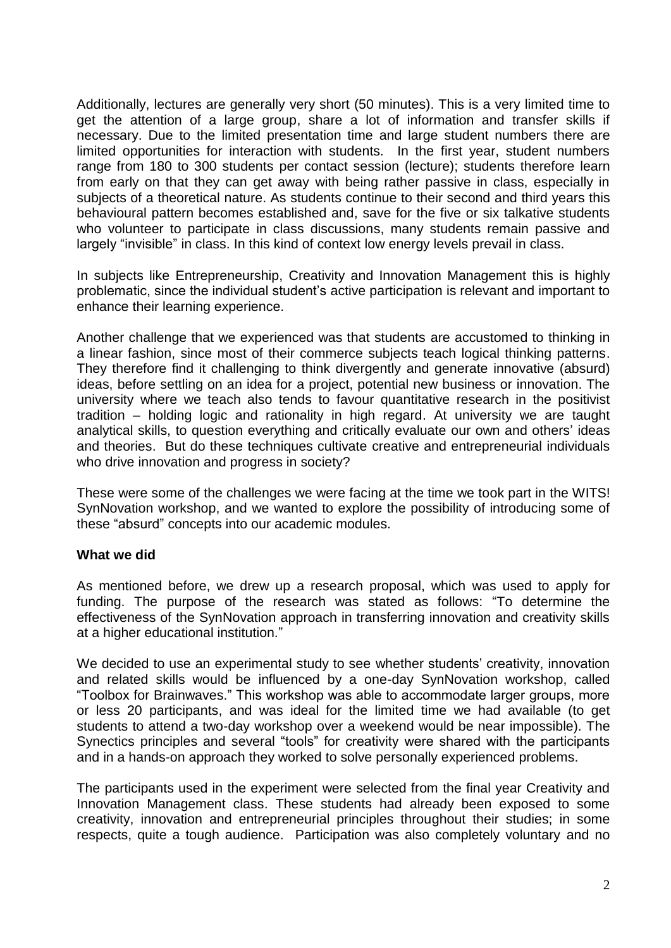Additionally, lectures are generally very short (50 minutes). This is a very limited time to get the attention of a large group, share a lot of information and transfer skills if necessary. Due to the limited presentation time and large student numbers there are limited opportunities for interaction with students. In the first year, student numbers range from 180 to 300 students per contact session (lecture); students therefore learn from early on that they can get away with being rather passive in class, especially in subjects of a theoretical nature. As students continue to their second and third years this behavioural pattern becomes established and, save for the five or six talkative students who volunteer to participate in class discussions, many students remain passive and largely "invisible" in class. In this kind of context low energy levels prevail in class.

In subjects like Entrepreneurship, Creativity and Innovation Management this is highly problematic, since the individual student's active participation is relevant and important to enhance their learning experience.

Another challenge that we experienced was that students are accustomed to thinking in a linear fashion, since most of their commerce subjects teach logical thinking patterns. They therefore find it challenging to think divergently and generate innovative (absurd) ideas, before settling on an idea for a project, potential new business or innovation. The university where we teach also tends to favour quantitative research in the positivist tradition – holding logic and rationality in high regard. At university we are taught analytical skills, to question everything and critically evaluate our own and others' ideas and theories. But do these techniques cultivate creative and entrepreneurial individuals who drive innovation and progress in society?

These were some of the challenges we were facing at the time we took part in the WITS! SynNovation workshop, and we wanted to explore the possibility of introducing some of these "absurd" concepts into our academic modules.

### **What we did**

As mentioned before, we drew up a research proposal, which was used to apply for funding. The purpose of the research was stated as follows: "To determine the effectiveness of the SynNovation approach in transferring innovation and creativity skills at a higher educational institution."

We decided to use an experimental study to see whether students' creativity, innovation and related skills would be influenced by a one-day SynNovation workshop, called "Toolbox for Brainwaves." This workshop was able to accommodate larger groups, more or less 20 participants, and was ideal for the limited time we had available (to get students to attend a two-day workshop over a weekend would be near impossible). The Synectics principles and several "tools" for creativity were shared with the participants and in a hands-on approach they worked to solve personally experienced problems.

The participants used in the experiment were selected from the final year Creativity and Innovation Management class. These students had already been exposed to some creativity, innovation and entrepreneurial principles throughout their studies; in some respects, quite a tough audience. Participation was also completely voluntary and no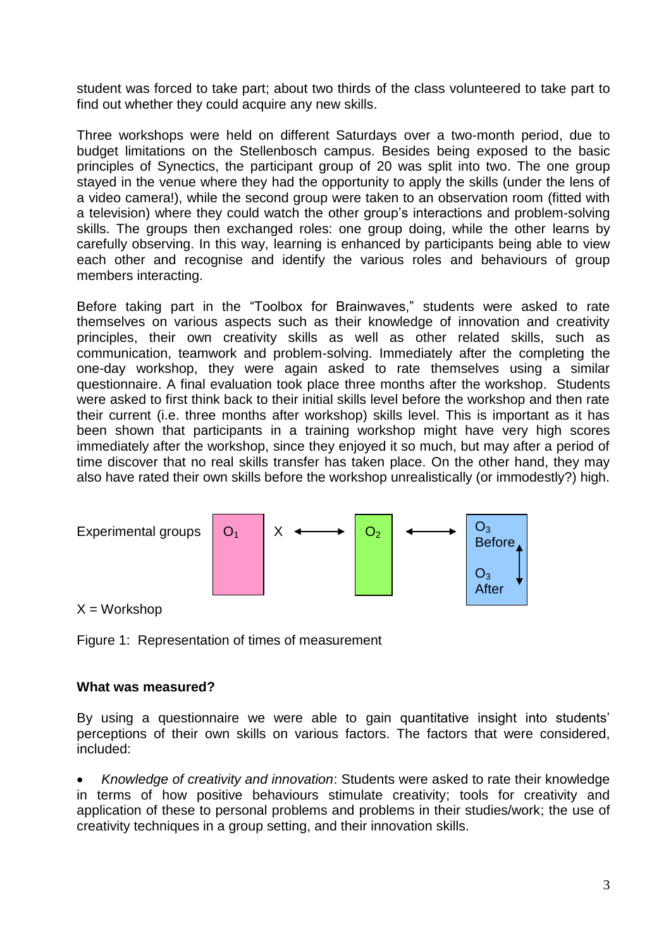student was forced to take part; about two thirds of the class volunteered to take part to find out whether they could acquire any new skills.

Three workshops were held on different Saturdays over a two-month period, due to budget limitations on the Stellenbosch campus. Besides being exposed to the basic principles of Synectics, the participant group of 20 was split into two. The one group stayed in the venue where they had the opportunity to apply the skills (under the lens of a video camera!), while the second group were taken to an observation room (fitted with a television) where they could watch the other group's interactions and problem-solving skills. The groups then exchanged roles: one group doing, while the other learns by carefully observing. In this way, learning is enhanced by participants being able to view each other and recognise and identify the various roles and behaviours of group members interacting.

Before taking part in the "Toolbox for Brainwaves," students were asked to rate themselves on various aspects such as their knowledge of innovation and creativity principles, their own creativity skills as well as other related skills, such as communication, teamwork and problem-solving. Immediately after the completing the one-day workshop, they were again asked to rate themselves using a similar questionnaire. A final evaluation took place three months after the workshop. Students were asked to first think back to their initial skills level before the workshop and then rate their current (i.e. three months after workshop) skills level. This is important as it has been shown that participants in a training workshop might have very high scores immediately after the workshop, since they enjoyed it so much, but may after a period of time discover that no real skills transfer has taken place. On the other hand, they may also have rated their own skills before the workshop unrealistically (or immodestly?) high.



 $X = Workshop$ 

Figure 1: Representation of times of measurement

### **What was measured?**

By using a questionnaire we were able to gain quantitative insight into students' perceptions of their own skills on various factors. The factors that were considered, included:

 *Knowledge of creativity and innovation*: Students were asked to rate their knowledge in terms of how positive behaviours stimulate creativity; tools for creativity and application of these to personal problems and problems in their studies/work; the use of creativity techniques in a group setting, and their innovation skills.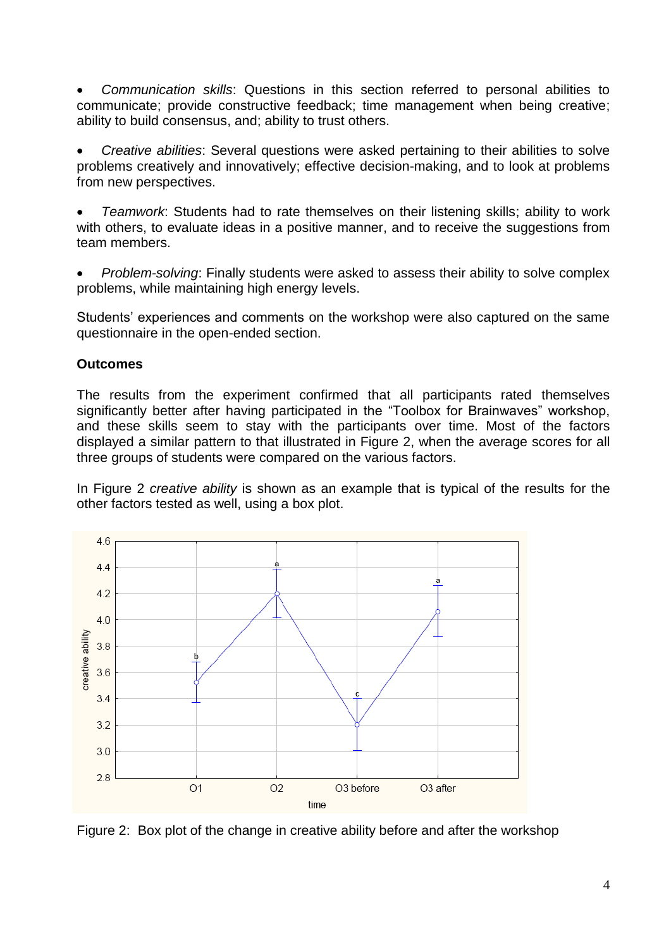*Communication skills*: Questions in this section referred to personal abilities to communicate; provide constructive feedback; time management when being creative; ability to build consensus, and; ability to trust others.

 *Creative abilities*: Several questions were asked pertaining to their abilities to solve problems creatively and innovatively; effective decision-making, and to look at problems from new perspectives.

 *Teamwork*: Students had to rate themselves on their listening skills; ability to work with others, to evaluate ideas in a positive manner, and to receive the suggestions from team members.

 *Problem-solving*: Finally students were asked to assess their ability to solve complex problems, while maintaining high energy levels.

Students' experiences and comments on the workshop were also captured on the same questionnaire in the open-ended section.

# **Outcomes**

The results from the experiment confirmed that all participants rated themselves significantly better after having participated in the "Toolbox for Brainwaves" workshop, and these skills seem to stay with the participants over time. Most of the factors displayed a similar pattern to that illustrated in Figure 2, when the average scores for all three groups of students were compared on the various factors.

In Figure 2 *creative ability* is shown as an example that is typical of the results for the other factors tested as well, using a box plot.



Figure 2: Box plot of the change in creative ability before and after the workshop